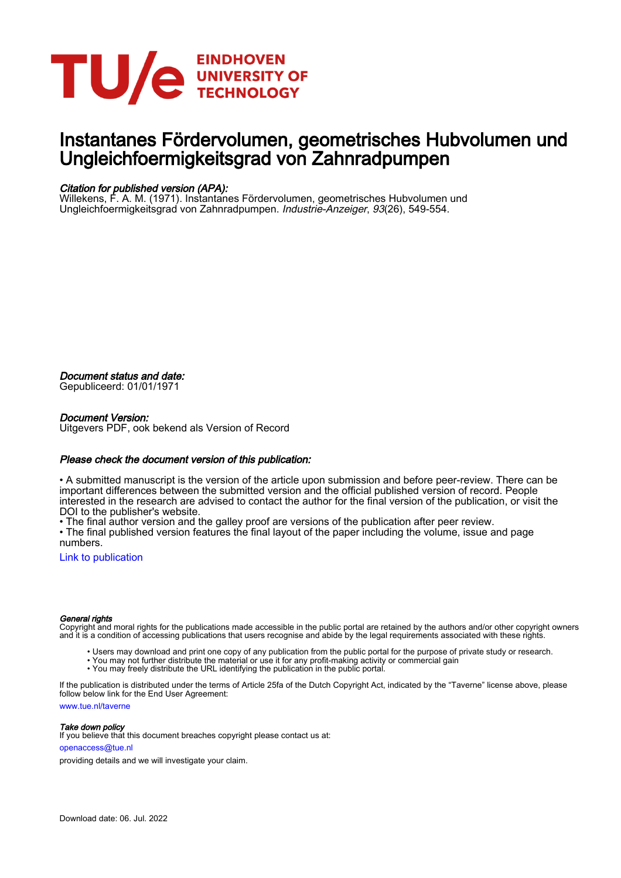

### Instantanes Fördervolumen, geometrisches Hubvolumen und Ungleichfoermigkeitsgrad von Zahnradpumpen

#### Citation for published version (APA):

Willekens, F. A. M. (1971). Instantanes Fördervolumen, geometrisches Hubvolumen und Ungleichfoermigkeitsgrad von Zahnradpumpen. Industrie-Anzeiger, 93(26), 549-554.

Document status and date:

Gepubliceerd: 01/01/1971

#### Document Version:

Uitgevers PDF, ook bekend als Version of Record

#### Please check the document version of this publication:

• A submitted manuscript is the version of the article upon submission and before peer-review. There can be important differences between the submitted version and the official published version of record. People interested in the research are advised to contact the author for the final version of the publication, or visit the DOI to the publisher's website.

• The final author version and the galley proof are versions of the publication after peer review.

• The final published version features the final layout of the paper including the volume, issue and page numbers.

[Link to publication](https://research.tue.nl/en/publications/0d53f4c2-6cf4-4a1c-9dbd-a2cb9ba3c192)

#### General rights

Copyright and moral rights for the publications made accessible in the public portal are retained by the authors and/or other copyright owners and it is a condition of accessing publications that users recognise and abide by the legal requirements associated with these rights.

- Users may download and print one copy of any publication from the public portal for the purpose of private study or research.
- You may not further distribute the material or use it for any profit-making activity or commercial gain
- You may freely distribute the URL identifying the publication in the public portal.

If the publication is distributed under the terms of Article 25fa of the Dutch Copyright Act, indicated by the "Taverne" license above, please follow below link for the End User Agreement:

www.tue.nl/taverne

**Take down policy**<br>If you believe that this document breaches copyright please contact us at:

openaccess@tue.nl

providing details and we will investigate your claim.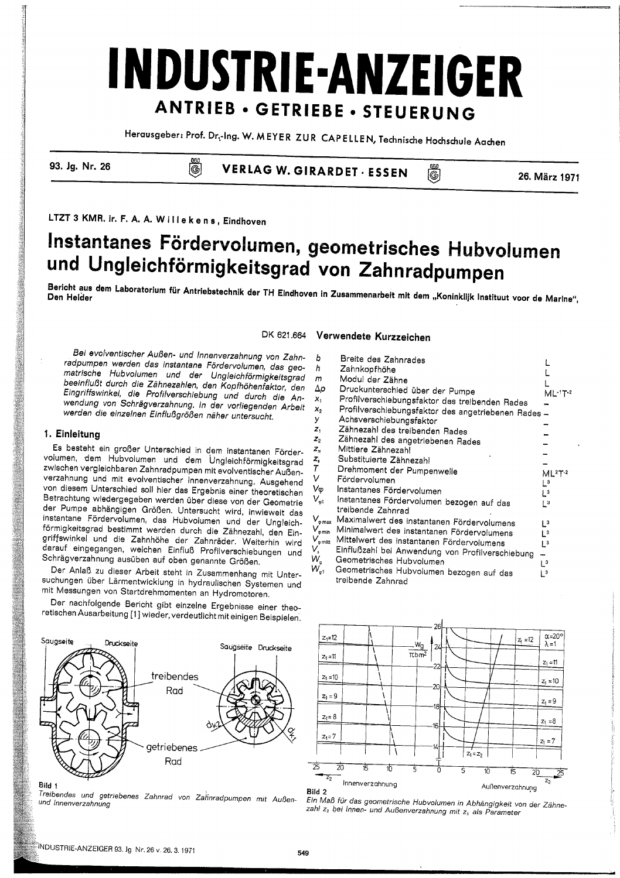# **INDUSTRIE-ANZEIGER** ANTRIEB · GETRIEBE · STEUERUNG

Herausgeber: Prof. Dr.-Ing. W. MEYER ZUR CAPELLEN, Technische Hochschule Aachen

93. Jg. Nr. 26

**VERLAG W. GIRARDET · ESSEN** 

26. März 1971

LTZT 3 KMR. ir. F. A. A. Willekens, Eindhoven

S<br>G

### Instantanes Fördervolumen, geometrisches Hubvolumen und Ungleichförmigkeitsgrad von Zahnradpumpen

Bericht aus dem Laboratorium für Antriebstechnik der TH Eindhoven in Zusammenarbeit mit dem "Koninklijk Instituut voor de Marine",

Λ

DK 621.664

Bei evolventischer Außen- und Innenverzahnung von Zahnradpumpen werden das instantane Fördervolumen, das geomatrische Hubvolumen und der Ungleichförmigkeitsgrad beeinflußt durch die Zähnezahlen, den Kopfhöhentaktor, den Eingriffswinkel, die Profilverschiebung und durch die Anwendung von Schrägverzahnung. In der vorliegenden Arbeit werden die einzelnen Einflußgrößen näher untersucht.

#### 1. Einleitung

Es besteht ein großer Unterschied in dem instantanen Fördervolumen, dem Hubvolumen und dem Ungleichförmigkeitsgrad zwischen vergleichbaren Zahnradpumpen mit evolventischer Außenverzahnung und mit evolventischer Innenverzahnung. Ausgehend von diesem Unterschied soll hier das Ergebnis einer theoretischen Betrachtung wiedergegeben werden über diese von der Geometrie der Pumpe abhängigen Größen. Untersucht wird, inwieweit das instantane Fördervolumen, das Hubvolumen und der Ungleichförmigkeitsgrad bestimmt werden durch die Zähnezahl, den Eingriffswinkel und die Zahnhöhe der Zahnräder. Weiterhin wird darauf eingegangen, welchen Einfluß Profilverschiebungen und Schrägverzahnung ausüben auf oben genannte Größen.

Der Anlaß zu dieser Arbeit steht in Zusammenhang mit Untersuchungen über Lärmentwicklung in hydraulischen Systemen und mit Messungen von Startdrehmomenten an Hydromotoren.

Der nachfolgende Bericht gibt einzelne Ergebnisse einer theoretischen Ausarbeitung [1] wieder, verdeutlicht mit einigen Beispielen.



Treibendes und getriebenes Zahnrad von Zahnradpumpen mit Außenund Innenverzahnung

### Verwendete Kurzzeichen

| b                                     | Breite des Zahnrades                               |                |
|---------------------------------------|----------------------------------------------------|----------------|
| h                                     | Zahnkopfhöhe                                       |                |
| m                                     | Modul der Zähne                                    |                |
| Δp                                    | Druckunterschied über der Pumpe                    | ML 1T 1        |
| X,                                    | Profilverschiebungsfaktor des treibenden Rades     |                |
| $x_{2}$                               | Profilverschiebungsfaktor des angetriebenen Rades- |                |
| y                                     | Achsverschiebungsfaktor                            |                |
| Z,                                    | Zähnezahl des treibenden Rades                     |                |
| $\mathbf{z}_{2}$                      | Zähnezahl des angetriebenen Rades                  |                |
| Z,                                    | Mittlere Zähnezahl                                 |                |
| 2,                                    | Substituierte Zähnezahl                            |                |
| Г                                     | Drehmoment der Pumpenwelle                         | $ML2T-2$       |
| I                                     | Fördervolumen                                      | L <sup>3</sup> |
| /φ                                    | Instantanes Fördervolumen                          | L3             |
| $\mathcal{N}_{\varphi 1}$             | Instantanes Fördervolumen bezogen auf das          | 3              |
|                                       | treibende Zahnrad                                  |                |
| $\ell_{\scriptscriptstyle\rm{p,max}}$ | Maximalwert des instantanen Fördervolumens         | L <sup>3</sup> |
| ∕ omin                                | Minimalwert des instantanen Fördervolumens         | Lз             |
| $\epsilon_{\rm{p\,milt}}$             | Mittelwert des instantanen Fördervolumens          | $L^3$          |
| 、<br>V <sub>g</sub>                   | Einflußzahl bei Anwendung von Profilverschiebung   |                |
|                                       | Geometrisches Hubvolumen                           | L <sup>3</sup> |
| $V_{g1}$                              | Geometrisches Hubvolumen bezogen auf das           | LЗ             |
|                                       | treibende Zahnrad                                  |                |

(G)



Ein Maß für das geometrische Hubvolumen in Abhängigkeit von der Zähnezahl z<sub>2</sub> bei Innen- und Außenverzahnung mit z<sub>1</sub> als Parameter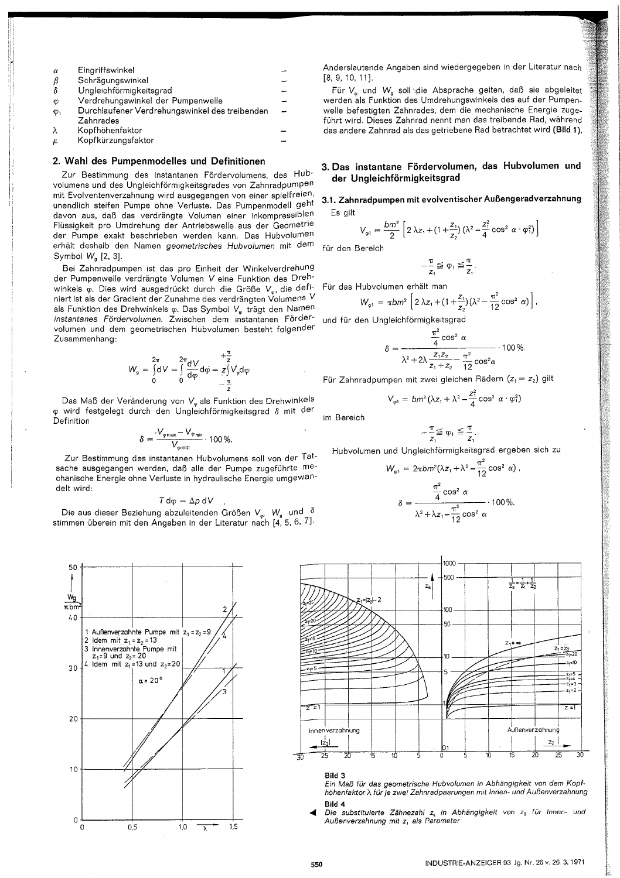| $\alpha$    | Eingriffswinkel                                |  |
|-------------|------------------------------------------------|--|
| β           | Schrägungswinkel                               |  |
| δ           | Ungleichförmigkeitsgrad                        |  |
| Ø           | Verdrehungswinkel der Pumpenwelle              |  |
| $\varphi_1$ | Durchlaufener Verdrehungswinkel des treibenden |  |
|             | Zahnrades                                      |  |
| λ           | Kopfhöhenfaktor                                |  |
| п.          | Konfkürzungsfaktor                             |  |

#### 2. Wahl des Pumpenmodelles und Definitionen

Zur Bestimmung des instantanen Fördervolumens, des Hubvolumens und des Ungleichförmigkeitsgrades von Zahnradpumpen mit Evolventenverzahnung wird ausgegangen von einer spielfreien, unendlich steifen Pumpe ohne Verluste. Das Pumpenmodell geht davon aus, daß das verdrängte Volumen einer inkompressiblen Flüssigkeit pro Umdrehung der Antriebswelle aus der Geometrie der Pumpe exakt beschrieben werden kann. Das Hubvolumen erhält deshalb den Namen geometrisches Hubvolumen mit dem Symbol W<sub>a</sub> [2, 3].

Bei Zahnradpumpen ist das pro Einheit der Winkelverdrehung der Pumpenwelle verdrängte Volumen V eine Funktion des Drehwinkels  $\varphi$ . Dies wird ausgedrückt durch die Größe  $V_{\varphi}$ , die definiert ist als der Gradient der Zunahme des verdrängten Volumens V als Funktion des Drehwinkels o. Das Symbol V<sub>v</sub> trägt den Namen instantanes Fördervolumen. Zwischen dem instantanen Fördervolumen und dem geometrischen Hubvolumen besteht folgender Zusammenhang:

$$
W_g = \int_0^{2\pi} dV = \int_0^{2\pi} \frac{dV}{d\varphi} d\varphi = \frac{1}{z} \int_0^{+\frac{\pi}{z}} V_{\varphi} d\varphi
$$

Das Maß der Veränderung von V<sub>v</sub> als Funktion des Drehwinkels φ wird festgelegt durch den Ungleichförmigkeitsgrad δ mit der Definition

$$
\delta = \frac{V_{\varphi \max} - V_{\varphi \min}}{V_{\min}} \cdot 100\%
$$

Zur Bestimmung des instantanen Hubvolumens soll von der Tatsache ausgegangen werden, daß alle der Pumpe zugeführte mechanische Energie ohne Verluste in hydraulische Energie umgewandelt wird:

$$
T d\varphi = \Delta p dV
$$

Die aus dieser Beziehung abzuleitenden Größen V<sub>w</sub>. W<sub>s</sub> und  $\delta$ stimmen überein mit den Angaben in der Literatur nach [4, 5, 6, 7].



Anderslautende Angaben sind wiedergegeben in der Literatur nach [8, 9, 10, 111,

Für V<sub>m</sub> und W<sub>a</sub> soll die Absprache gelten, daß sie abgeleitet werden als Funktion des Umdrehungswinkels des auf der Pumpenwelle befestigten Zahnrades, dem die mechanische Energie zugeführt wird. Dieses Zahnrad nennt man das treibende Rad, während das andere Zahnrad als das getriebene Rad betrachtet wird (Bild 1).

#### 3. Das instantane Fördervolumen, das Hubvolumen und der Ungleichförmigkeitsgrad

#### 3.1. Zahnradpumpen mit evolventischer Außengeradverzahnung Fs oilt

$$
V_{\varphi 1} = \frac{bm^2}{2} \left[ 2 \lambda z_1 + (1 + \frac{z_1}{z_2}) \left( \lambda^2 - \frac{z_1^2}{4} \cos^2 \alpha \cdot \varphi_1^2 \right) \right]
$$

für den Bereich

$$
-\frac{\pi}{z_1}\leqq \phi_1\leqq \frac{\pi}{z_1}
$$

Für das Hubvolumen erhält man

$$
W_{g1} = \pi b m^2 \left[ 2 \lambda z_1 + (1 + \frac{z_1}{z_2}) (\lambda^2 - \frac{\pi^2}{12} \cos^2 \alpha) \right],
$$

und für den Ungleichförmigkeitsgrad

$$
\delta = \frac{\frac{\pi^2}{4}\cos^2\alpha}{\lambda^2 + 2\lambda \frac{z_1z_2}{z_1 + z_2} - \frac{\pi^2}{12}\cos^2\alpha} \cdot 100\%
$$

Für Zahnradpumpen mit zwei gleichen Rädern  $(z_1 = z_2)$  gilt

$$
V_{\varphi 1} = bm^2(\lambda z_1 + \lambda^2 - \frac{z_1^2}{4}\cos^2 \alpha \cdot \varphi_1^2)
$$

im Bereich

 $-\frac{\pi}{z_1} \leq \varphi_1 \leq \frac{\pi}{z_1}.$ Hubvolumen und Ungleichförmigkeitsgrad ergeben sich zu

$$
W_{s1} = 2\pi b m^2 (\lambda z_1 + \lambda^2 - \frac{\pi^2}{12} \cos^2 \alpha),
$$

$$
\delta = \frac{\frac{\pi^2}{4} \cos^2 \alpha}{\lambda^2 + \lambda z_1 - \frac{\pi^2}{12} \cos^2 \alpha} \cdot 100 \, \%
$$



#### Bild 3

Ein Maß für das geometrische Hubvolumen in Abhängigkeit von dem Kopfhöhenfaktor  $\lambda$  für je zwei Zahnradpaarungen mit Innen- und Außenverzahnung Bild 4

Đie substituierte Zähnezahl z, in Abhängigkeit von z<sub>2</sub> für Innen- und Außenverzahnung mit z<sub>1</sub> als Parameter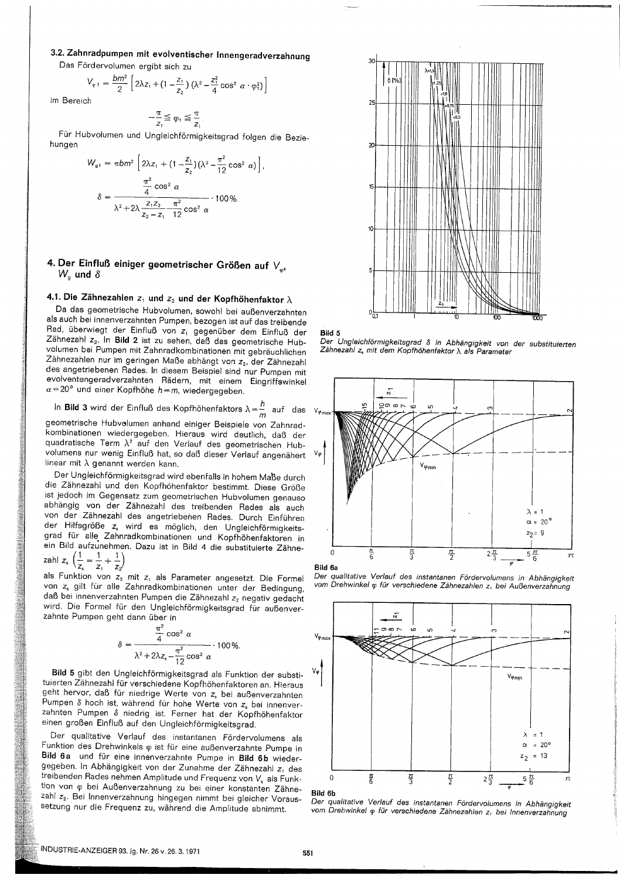#### 3.2. Zahnradpumpen mit evolventischer Innengeradverzahnung

Das Fördervolumen ergibt sich zu

$$
V_{\varphi 1} = \frac{bm^2}{2} \left[ 2\lambda z_1 + (1 - \frac{z_1}{z_2}) (\lambda^2 - \frac{z_1^2}{4} \cos^2 \alpha \cdot \varphi_1^2) \right]
$$
ch

im Bereid

J.

$$
-\frac{\pi}{z_1} \leq \varphi_1 \leq \frac{\pi}{z_1}.
$$

Für Hubvolumen und Ungleichförmigkeitsgrad folgen die Beziehungen

$$
V_{g1} = \pi b m^2 \left[ 2\lambda z_1 + (1 - \frac{z_1}{z_2}) (\lambda^2 - \frac{\pi^2}{12} \cos^2 \alpha) \right],
$$
  

$$
\delta = \frac{\frac{\pi^2}{4} \cos^2 \alpha}{\lambda^2 + 2\lambda \frac{z_1 z_2}{z_2 - z_1} \frac{\pi^2}{12} \cos^2 \alpha} \cdot 100 \%
$$

#### 4. Der Einfluß einiger geometrischer Größen auf  $V_{\alpha}$  $W_{\rm g}$  und  $\delta$

### 4.1. Die Zähnezahlen  $z_1$  und  $z_2$  und der Kopfhöhenfaktor  $\lambda$

Da das geometrische Hubvolumen, sowohl bei außenverzahnten als auch bei innenverzahnten Pumpen, bezogen ist auf das treibende Rad, überwiegt der Einfluß von z<sub>1</sub> gegenüber dem Einfluß der Zähnezahl z2. In Bild 2 ist zu sehen, daß das geometrische Hubvolumen bei Pumpen mit Zahnradkombinationen mit gebräuchlichen Zähnezahlen nur im geringen Maße abhängt von z2, der Zähnezahl des angetriebenen Rades. In diesem Beispiel sind nur Pumpen mit evolventengeradverzahnten Rädern, mit einem Eingriffswinkel  $\alpha$  = 20° und einer Kopfhöhe  $h$  = m, wiedergegeben.

In **Bild 3** wird der Einfluß des Kopfhöhenfaktors  $\lambda = \frac{h}{m}$  auf das

geometrische Hubvolumen anhand einiger Beispiele von Zahnradkombinationen wiedergegeben. Hieraus wird deutlich, daß der quadratische Term  $\lambda^2$  auf den Verlauf des geometrischen Hubvolumens nur wenig Einfluß hat, so daß dieser Verlauf angenähert linear mit  $\lambda$  genannt werden kann.

Der Ungleichförmigkeitsgrad wird ebenfalls in hohem Maße durch die Zähnezahl und den Kopfhöhenfaktor bestimmt. Diese Größe ist jedoch im Gegensatz zum geometrischen Hubvolumen genauso abhängig von der Zähnezahl des treibenden Rades als auch von der Zähnezahl des angetriebenen Rades. Durch Einführen der Hilfsgröße z, wird es möglich, den Ungleichförmigkeitsgrad für alle Zahnradkombinationen und Kopfhöhenfaktoren in ein Bild aufzunehmen. Dazu ist in Bild 4 die substituierte Zähne $anh z \left( \frac{1}{2} = \frac{1}{2} + \frac{1}{2} \right)$ 

$$
z_{\text{all}} z_{\text{s}} \ \ ( \frac{z}{z_{\text{s}}} = \frac{z}{z_1} + \frac{z}{z_2}
$$

als Funktion von z<sub>2</sub> mit z<sub>1</sub> als Parameter angesetzt. Die Formel von z, gilt für alle Zahnradkombinationen unter der Bedingung, daß bei innenverzahnten Pumpen die Zähnezahl z2 negativ gedacht wird. Die Formel für den Ungleichförmigkeitsgrad für außenverzahnte Pumpen geht dann über in

$$
\delta = \frac{\frac{\pi}{4} \cos^2 \alpha}{\lambda^2 + 2\lambda z_s - \frac{\pi^2}{12} \cos^2 \alpha} \cdot 100\%.
$$

Bild 5 gibt den Ungleichförmigkeitsgrad als Funktion der substituierten Zähnezahl für verschiedene Kopfhöhenfaktoren an. Hieraus geht hervor, daß für niedrige Werte von z, bei außenverzahnten Pumpen  $\delta$  hoch ist, während für hohe Werte von  $z_{s}$  bei innenverzahnten Pumpen  $\delta$  niedrig ist. Ferner hat der Kopfhöhenfaktor einen großen Einfluß auf den Ungleichförmigkeitsgrad.

Der qualitative Verlauf des instantanen Fördervolumens als Funktion des Drehwinkels  $\varphi$  ist für eine außenverzahnte Pumpe in Bild 6a und für eine innenverzahnte Pumpe in Bild 6b wiedergegeben. In Abhängigkeit von der Zunahme der Zähnezahl z1 des treibenden Rades nehmen Amplitude und Frequenz von V<sub>y</sub> als Funktion von o bei Außenverzahnung zu bei einer konstanten Zähnezahl z2. Bei Innenverzahnung hingegen nimmt bei gleicher Voraussetzung nur die Frequenz zu, während die Amplitude abnimmt.





Dna 3<br>Der Ungleichförmigkeitsgrad δ in Abhängigkeit von der substituierten<br>Zähnezahl z, mit dem Kopfhöhenfaktor λ als Parameter







Bild 6b

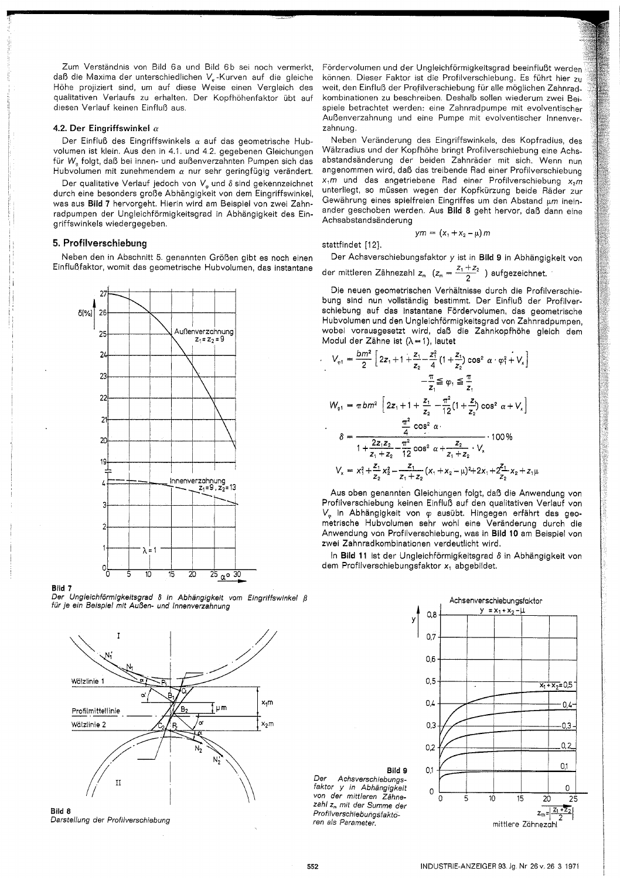Zum Verständnis von Bild 6a und Bild 6b sei noch vermerkt, daß die Maxima der unterschiedlichen V.-Kurven auf die gleiche Höhe projiziert sind, um auf diese Weise einen Vergleich des qualitativen Verlaufs zu erhalten. Der Kopfhöhenfaktor übt auf diesen Verlauf keinen Einfluß aus.

#### 4.2. Der Eingriffswinkel  $\alpha$

Der Einfluß des Eingriffswinkels  $\alpha$  auf das geometrische Hubvolumen ist klein. Aus den in 4.1. und 4.2. gegebenen Gleichungen für W. folgt, daß bei innen- und außenverzahnten Pumpen sich das Hubvolumen mit zunehmendem  $\alpha$  nur sehr geringfügig verändert.

Der qualitative Verlauf jedoch von  $V_{\varphi}$  und  $\delta$  sind gekennzeichnet durch eine besonders große Abhängigkeit von dem Eingriffswinkel, was aus Bild 7 hervorgeht. Hierin wird am Beispiel von zwei Zahnradpumpen der Ungleichförmigkeitsgrad in Abhängigkeit des Eingriffswinkels wiedergegeben.

#### 5. Profilverschiebung

Neben den in Abschnitt 5. genannten Größen gibt es noch einen Einflußfaktor, womit das geometrische Hubvolumen, das instantane



Bild 7 Der Ungleichförmigkeitsgrad 8 in Abhängigkeit vom Eingriffswinkel ß für je ein Beispiel mit Außen- und Innenverzahnung



Darstellung der Profilverschiebung

Fördervolumen und der Ungleichförmigkeitsgrad beeinflußt werden können. Dieser Faktor ist die Profilverschiebung. Es führt hier zu weit, den Einfluß der Profilverschiebung für alle möglichen Zahnradkombinationen zu beschreiben. Deshalb sollen wiederum zwei Beispiele betrachtet werden: eine Zahnradpumpe mit evolventischer Außenverzahnung und eine Pumpe mit evolventischer Innenverzahnung.

Neben Veränderung des Eingriffswinkels, des Kopfradius, des Wälzradius und der Kopfhöhe bringt Profilverschiebung eine Achsabstandsänderung der beiden Zahnräder mit sich. Wenn nun angenommen wird, daß das treibende Rad einer Profilverschiebung  $x,m$  und das angetriebene Rad einer Profilverschiebung  $x_2m$ unterliegt, so müssen wegen der Kopfkürzung beide Räder zur Gewährung eines spielfreien Eingriffes um den Abstand um ineinander geschoben werden. Aus Bild 8 geht hervor, daß dann eine Achsabstandsänderung

stattfindet [12].

Der Achsverschiebungsfaktor y ist in Bild 9 in Abhängigkeit von der mittleren Zähnezahl  $z_m$  ( $z_m = \frac{z_1 + z_2}{2}$ ) aufgezeichnet.

 $ym = (x_1 + x_2 - \mu) m$ 

Die neuen geometrischen Verhältnisse durch die Profilverschiebung sind nun vollständig bestimmt. Der Einfluß der Profilverschiebung auf das instantane Fördervolumen, das geometrische Hubvolumen und den Ungleichförmigkeitsgrad von Zahnradpumpen. wobei vorausgesetzt wird, daß die Zahnkopfhöhe gleich dem Modul der Zähne ist  $(\lambda = 1)$ , lautet

$$
V_{\varphi1} = \frac{bm^2}{2} \left[ 2z_1 + 1 + \frac{z_1}{z_2} - \frac{z_1^2}{4} \left( 1 + \frac{z_1}{z_2} \right) \cos^2 \alpha \cdot \varphi_1^2 + V_x \right]
$$
  
\n
$$
- \frac{\pi}{z_1} \leq \varphi_1 \leq \frac{\pi}{z_1}
$$
  
\n
$$
W_{\varphi1} = \pi b m^2 \left[ 2z_1 + 1 + \frac{z_1}{z_2} - \frac{\pi^2}{12} \left( 1 + \frac{z_1}{z_2} \right) \cos^2 \alpha + V_x \right]
$$
  
\n
$$
\delta = \frac{\frac{\pi^2}{4} \cos^2 \alpha}{1 + \frac{2z_1 z_2}{z_1 + z_2} - \frac{\pi^2}{12} \cos^2 \alpha + \frac{z_2}{z_1 + z_2} \cdot V_x} \cdot 100 \%
$$
  
\n
$$
V_x = x_1^2 + \frac{z_1}{z_2} x_2^2 - \frac{z_1}{z_1 + z_2} (x_1 + x_2 - \mu)^2 + 2x_1 + \frac{z_1^2}{z_2} x_2 + z_1 \mu
$$

Aus oben genannten Gleichungen folgt, daß die Anwendung von Profilverschiebung keinen Einfluß auf den qualitativen Verlauf von V<sub>w</sub> in Abhängigkeit von o ausübt. Hingegen erfährt das geometrische Hubvolumen sehr wohl eine Veränderung durch die Anwendung von Profilverschiebung, was in Bild 10 am Beispiel von zwei Zahnradkombinationen verdeutlicht wird.

In Bild 11 ist der Ungleichförmigkeitsgrad  $\delta$  in Abhängigkeit von dem Profilverschiebungsfaktor x<sub>1</sub> abgebildet.

Bild 9 Der Achsverschiebungsfaktor y in Abhängigkeit von der mittleren Zähnezahl z<sub>m</sub> mit der Summe der Profilverschiebungsfaktoren als Parameter.

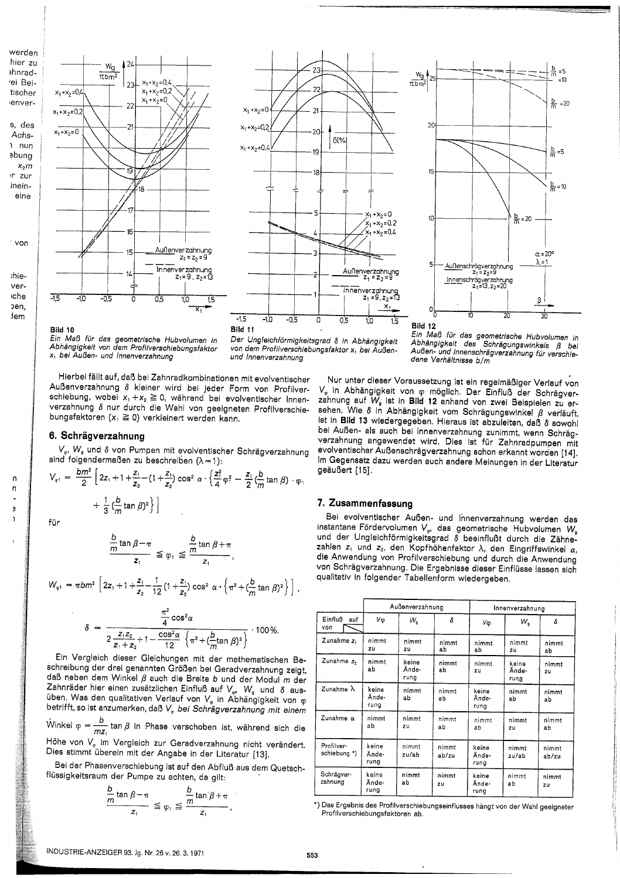er zu ırad-Beicher ver. des chsnun

rden



on

ė ŗ. ۱ė 'n, m







## Bild 10

 $-0.5$ 

 $W_{\underline{g}}$ 

 $\overline{\pi}$ <sub>hm</sub><sup>2</sup>

 $x_1 + x_2 = 0.4$ 

 $x_1 + x_2 = 0.2$ 

 $x_1 + x_2 = 0$ 

 $\sqrt{24}$ 

 $23$ 

 $\overline{2}$ 

 $\overline{2}$ 

۱ŕ

 $x_1 + x_2 = 0,4$ 

 $x_1 + x_2 = 0.2$ 

 $x_1 + x_2 = 0$ 

Der Ungleichförmigkeitsgrad 8 in Abhängigkeit von dem Profilverschiebungsfaktor x1 bei Außenund Innenverzahnung

Hierbei fällt auf, daß bei Zahnradkombinationen mit evolventischer Außenverzahnung δ kleiner wird bei jeder Form von Profilverschiebung, wobei  $x_1 + x_2 \ge 0$ , während bei evolventischer Innenverzahnung 8 nur durch die Wahl von geeigneten Profilverschiebungsfaktoren  $(x_1 \ge 0)$  verkleinert werden kann.

Außenverzahnung

Innenverzahnung

 $\overline{1,0}$ 

 $15$ 

 $\overline{0}$ 

 $z_1 = z_2 = 9$ 

#### 6. Schrägverzahnung

-10

V., W. und 8 von Pumpen mit evolventischer Schrägverzahnung sind folgendermaßen zu beschreiben  $(\lambda = 1)$ :

$$
V_{\varphi_1} = \frac{bm^2}{2} \left[ 2z_1 + 1 + \frac{z_1}{z_2} - (1 + \frac{z_1}{z_2}) \cos^2 \alpha \cdot \left( \frac{z_1^2}{4} \varphi_1^2 - \frac{z_1}{2} (\frac{b}{m} \tan \beta) \cdot \varphi_1 + \frac{1}{3} (\frac{b}{m} \tan \beta)^2 \right] \right]
$$

$$
\frac{\frac{b}{m}\tan\beta - \pi}{z_1} \leq \varphi, \leq \frac{\frac{b}{m}\tan\beta + \pi}{z_1}
$$

$$
W_{\mathfrak{q}1} = \pi b m^2 \left[ 2 z_1 + 1 + \frac{z_1}{z_2} - \frac{1}{12} \left( 1 + \frac{z_1}{z_2} \right) \cos^2 \alpha \cdot \left\{ \pi^2 + (\frac{b}{m} \tan \beta)^2 \right\} \right],
$$

$$
\delta = \frac{\frac{\pi^2}{4} \cos^2 \alpha}{2 \frac{Z_1 Z_2}{Z_1 + Z_2} + 1 - \frac{\cos^2 \alpha}{12} \left\{ \pi^2 + (\frac{b}{m} \tan \beta)^2 \right\}} \cdot 100\%.
$$

Ein Vergleich dieser Gleichungen mit der mathematischen Beschreibung der drei genannten Größen bei Geradverzahnung zeigt, daß neben dem Winkel  $\beta$  auch die Breite b und der Modul m der Zahnräder hier einen zusätzlichen Einfluß auf  $V_{\varphi}$ . W<sub>a</sub> und  $\delta$  ausüben. Was den qualitativen Verlauf von  $V_{\varphi}$  in Abhängigkeit von  $\varphi$  betrifft, so ist anzumerken, daß  $V_{\varphi}$  bei Schrägverzahnung mit einem Winkel  $\varphi = \frac{b}{mz_1} \tan \beta$  in Phase verschoben ist, während sich die

Höhe von  $V_{\varphi}$  im Vergleich zur Geradverzahnung nicht verändert. Dies stimmt überein mit der Angabe in der Literatur [13].

Bei der Phasenverschiebung ist auf den Abfluß aus dem Quetschflüssigkeitsraum der Pumpe zu achten, da gilt:

$$
\frac{\frac{b}{m}\tan\beta - \pi}{z_1} \leqq \varphi_1 \leqq \frac{\frac{b}{m}\tan^{\circ}\beta + \pi}{z_1},
$$

Ein Maß für das geometrische Hubvolumen in<br>Abhängigkeit des Schrägungswinkels ß Außen- und Innenschrägverzahnung für verschiedene Verhältnisse b/m

Nur unter dieser Voraussetzung ist ein regelmäßiger Verlauf von V<sub>e</sub> in Abhängigkeit von o möglich. Der Einfluß der Schrägverzahnung auf W<sub>e</sub> ist in Bild 12 anhand von zwei Beispielen zu ersehen. Wie 8 in Abhängigkeit vom Schrägungswinkel  $\beta$  verläuft, ist in Bild 13 wiedergegeben. Hieraus ist abzuleiten, daß 8 sowohl bei Außen- als auch bei Innenverzahnung zunimmt, wenn Schrägverzahnung angewendet wird. Dies ist für Zahnradpumpen mit evolventischer Außenschrägverzahnung schon erkannt worden [14]. Im Gegensatz dazu werden auch andere Meinungen in der Literatur geäußert [15].

#### 7. Zusammenfassung

Bei evolventischer Außen- und Innenverzahnung werden das instantane Fördervolumen V<sub>er</sub> das geometrische Hubvolumen W. und der Ungleichförmigkeitsgrad 8 beeinflußt durch die Zähnezahlen z<sub>1</sub> und z<sub>2</sub>, den Kopfhöhenfaktor  $\lambda$ , den Eingriffswinkel  $\alpha$ , die Anwendung von Profilverschiebung und durch die Anwendung von Schrägverzahnung. Die Ergebnisse dieser Einflüsse lassen sich qualitativ in folgender Tabellenform wiedergeben.

|                            | Außenverzahnung        |                        |                | Innenverzahnung.       |                        |                |
|----------------------------|------------------------|------------------------|----------------|------------------------|------------------------|----------------|
| Einfluß auf<br>von         | Vφ                     | W <sub>o</sub>         | δ              | Vφ                     | w.                     | δ              |
| Zunahme z.                 | nimmt<br><b>2</b> U    | nimmt<br>zu            | nimmt<br>аb    | nimmt<br>ab            | nimmt<br>zu            | nimmt<br>ab    |
| Zunahme z,                 | nimmt<br>ab            | keine<br>Ände-<br>rung | nimmt<br>ab    | nimmt<br>2U            | keine<br>Ände-<br>rung | nimmt<br>zu    |
| Zunahme $\lambda$          | keine<br>Ände-<br>rung | nimmt<br>ab            | nimmt<br>ab    | keine<br>Ände-<br>runa | nimmt<br>аb            | nimmt<br>аb    |
| Zunahme a                  | nimmt<br>аb            | nimmt<br>zu            | nimmt<br>ab    | nimmt<br>ab            | nimmt<br>zu            | nimmt<br>àb    |
| Profilver-<br>schiebung *) | keine<br>Ände-<br>rung | nimmt<br>zu/ab         | nimmt<br>ab/zu | keine<br>Ände-<br>rung | nimmt<br>zu/ab         | nimmt<br>ab/zu |
| Schrägver-<br>zahnung      | keine<br>Ände÷<br>rung | nimmt<br>аb            | nimmt<br>ZU    | keine<br>Ände-<br>rung | nimmt<br>аb            | nimmt<br>zu    |

\*) Das Ergebnis des Profilverschiebungseinflusses hängt von der Wahl geeigneter Profilverschiebungsfaktoren ab.